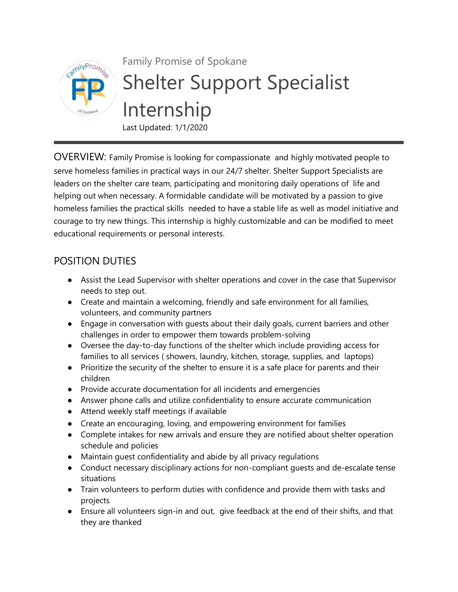

## Family Promise of Spokane Shelter Support Specialist Internship Last Updated: 1/1/2020

OVERVIEW: Family Promise is looking for compassionate and highly motivated people to serve homeless families in practical ways in our 24/7 shelter. Shelter Support Specialists are leaders on the shelter care team, participating and monitoring daily operations of life and helping out when necessary. A formidable candidate will be motivated by a passion to give homeless families the practical skills needed to have a stable life as well as model initiative and courage to try new things. This internship is highly customizable and can be modified to meet educational requirements or personal interests.

## POSITION DUTIES

- Assist the Lead Supervisor with shelter operations and cover in the case that Supervisor needs to step out.
- Create and maintain a welcoming, friendly and safe environment for all families, volunteers, and community partners
- Engage in conversation with guests about their daily goals, current barriers and other challenges in order to empower them towards problem-solving
- Oversee the day-to-day functions of the shelter which include providing access for families to all services ( showers, laundry, kitchen, storage, supplies, and laptops)
- Prioritize the security of the shelter to ensure it is a safe place for parents and their children
- Provide accurate documentation for all incidents and emergencies
- Answer phone calls and utilize confidentiality to ensure accurate communication
- Attend weekly staff meetings if available
- Create an encouraging, loving, and empowering environment for families
- Complete intakes for new arrivals and ensure they are notified about shelter operation schedule and policies
- Maintain guest confidentiality and abide by all privacy regulations
- Conduct necessary disciplinary actions for non-compliant quests and de-escalate tense situations
- Train volunteers to perform duties with confidence and provide them with tasks and projects
- Ensure all volunteers sign-in and out, give feedback at the end of their shifts, and that they are thanked